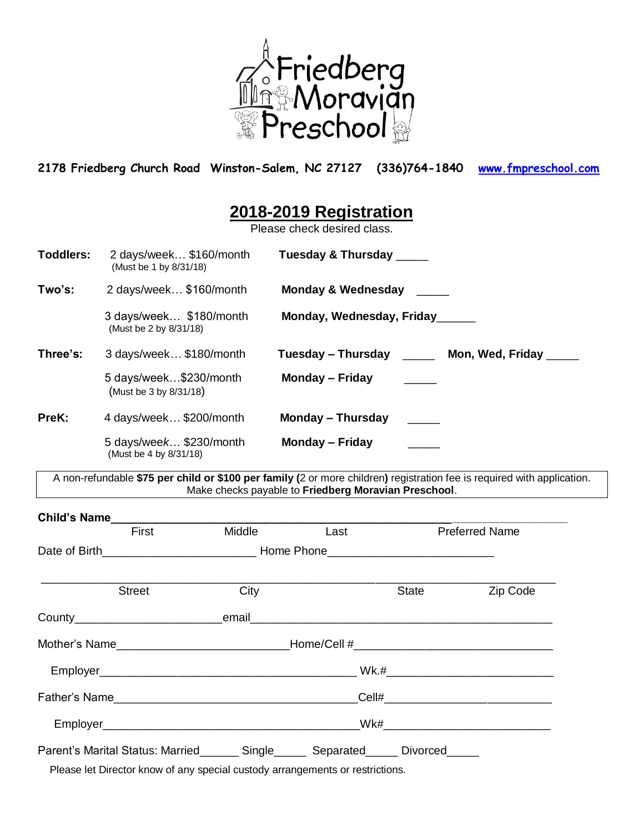

**2178 Friedberg Church Road Winston-Salem, NC 27127 (336)764-1840 [www.fmpreschool.com](http://www.fmpreschool.com/)**

## **2018-2019 Registration**

Please check desired class.

| <b>Toddlers:</b> | 2 days/week \$160/month<br>(Must be 1 by 8/31/18)    | Tuesday & Thursday _____               |
|------------------|------------------------------------------------------|----------------------------------------|
| Two's:           | 2 days/week \$160/month                              | <b>Monday &amp; Wednesday</b>          |
|                  | 3 days/week \$180/month<br>(Must be 2 by 8/31/18)    | Monday, Wednesday, Friday              |
| Three's:         | 3 days/week \$180/month                              | Tuesday – Thursday<br>Mon, Wed, Friday |
|                  | 5 days/week\$230/month<br>(Must be 3 by 8/31/18)     | Monday - Friday                        |
| PreK:            | 4 days/week \$200/month                              | <b>Monday – Thursday</b>               |
|                  | 5 days/wee $k$ \$230/month<br>(Must be 4 by 8/31/18) | <b>Monday – Friday</b>                 |

A non-refundable **\$75 per child or \$100 per family (**2 or more children**)** registration fee is required with application. Make checks payable to **Friedberg Moravian Preschool**.

| Child's Name                                                                      |                                                                                  |      |       |                       |
|-----------------------------------------------------------------------------------|----------------------------------------------------------------------------------|------|-------|-----------------------|
| First                                                                             | <b>Middle</b>                                                                    | Last |       | <b>Preferred Name</b> |
|                                                                                   |                                                                                  |      |       |                       |
| <b>Street</b>                                                                     | City                                                                             |      | State | Zip Code              |
|                                                                                   |                                                                                  |      |       |                       |
|                                                                                   | Mother's Name________________________________Home/Cell #________________________ |      |       |                       |
|                                                                                   |                                                                                  |      |       |                       |
|                                                                                   |                                                                                  |      |       |                       |
|                                                                                   |                                                                                  |      |       |                       |
| Parent's Marital Status: Married_______ Single______ Separated_____ Divorced_____ |                                                                                  |      |       |                       |
|                                                                                   |                                                                                  |      |       |                       |

Please let Director know of any special custody arrangements or restrictions.